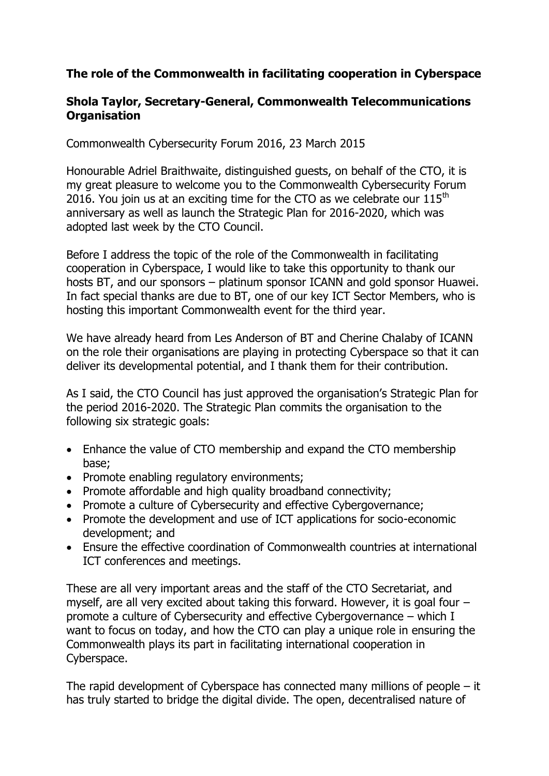## **The role of the Commonwealth in facilitating cooperation in Cyberspace**

## **Shola Taylor, Secretary-General, Commonwealth Telecommunications Organisation**

Commonwealth Cybersecurity Forum 2016, 23 March 2015

Honourable Adriel Braithwaite, distinguished guests, on behalf of the CTO, it is my great pleasure to welcome you to the Commonwealth Cybersecurity Forum 2016. You join us at an exciting time for the CTO as we celebrate our  $115<sup>th</sup>$ anniversary as well as launch the Strategic Plan for 2016-2020, which was adopted last week by the CTO Council.

Before I address the topic of the role of the Commonwealth in facilitating cooperation in Cyberspace, I would like to take this opportunity to thank our hosts BT, and our sponsors – platinum sponsor ICANN and gold sponsor Huawei. In fact special thanks are due to BT, one of our key ICT Sector Members, who is hosting this important Commonwealth event for the third year.

We have already heard from Les Anderson of BT and Cherine Chalaby of ICANN on the role their organisations are playing in protecting Cyberspace so that it can deliver its developmental potential, and I thank them for their contribution.

As I said, the CTO Council has just approved the organisation's Strategic Plan for the period 2016-2020. The Strategic Plan commits the organisation to the following six strategic goals:

- Enhance the value of CTO membership and expand the CTO membership base;
- Promote enabling regulatory environments;
- Promote affordable and high quality broadband connectivity;
- Promote a culture of Cybersecurity and effective Cybergovernance;
- Promote the development and use of ICT applications for socio-economic development; and
- Ensure the effective coordination of Commonwealth countries at international ICT conferences and meetings.

These are all very important areas and the staff of the CTO Secretariat, and myself, are all very excited about taking this forward. However, it is goal four – promote a culture of Cybersecurity and effective Cybergovernance – which I want to focus on today, and how the CTO can play a unique role in ensuring the Commonwealth plays its part in facilitating international cooperation in Cyberspace.

The rapid development of Cyberspace has connected many millions of people – it has truly started to bridge the digital divide. The open, decentralised nature of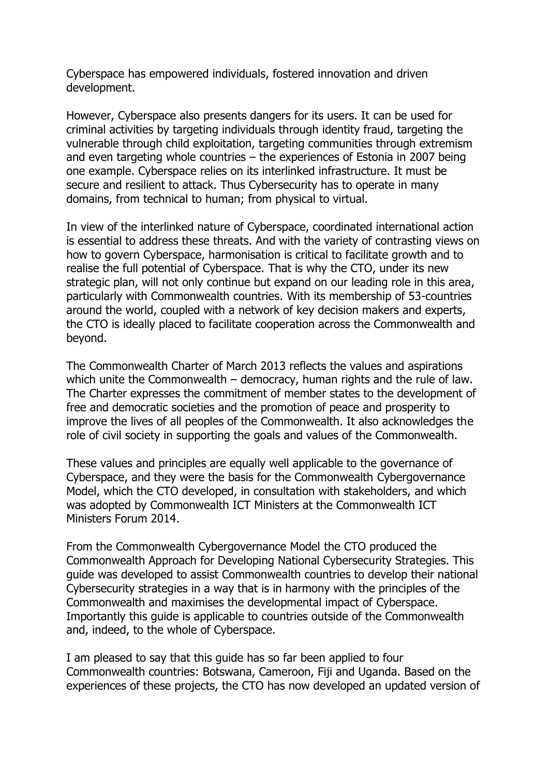Cyberspace has empowered individuals, fostered innovation and driven development.

However, Cyberspace also presents dangers for its users. It can be used for criminal activities by targeting individuals through identity fraud, targeting the vulnerable through child exploitation, targeting communities through extremism and even targeting whole countries – the experiences of Estonia in 2007 being one example. Cyberspace relies on its interlinked infrastructure. It must be secure and resilient to attack. Thus Cybersecurity has to operate in many domains, from technical to human; from physical to virtual.

In view of the interlinked nature of Cyberspace, coordinated international action is essential to address these threats. And with the variety of contrasting views on how to govern Cyberspace, harmonisation is critical to facilitate growth and to realise the full potential of Cyberspace. That is why the CTO, under its new strategic plan, will not only continue but expand on our leading role in this area, particularly with Commonwealth countries. With its membership of 53-countries around the world, coupled with a network of key decision makers and experts, the CTO is ideally placed to facilitate cooperation across the Commonwealth and beyond.

The Commonwealth Charter of March 2013 reflects the values and aspirations which unite the Commonwealth – democracy, human rights and the rule of law. The Charter expresses the commitment of member states to the development of free and democratic societies and the promotion of peace and prosperity to improve the lives of all peoples of the Commonwealth. It also acknowledges the role of civil society in supporting the goals and values of the Commonwealth.

These values and principles are equally well applicable to the governance of Cyberspace, and they were the basis for the Commonwealth Cybergovernance Model, which the CTO developed, in consultation with stakeholders, and which was adopted by Commonwealth ICT Ministers at the Commonwealth ICT Ministers Forum 2014.

From the Commonwealth Cybergovernance Model the CTO produced the Commonwealth Approach for Developing National Cybersecurity Strategies. This guide was developed to assist Commonwealth countries to develop their national Cybersecurity strategies in a way that is in harmony with the principles of the Commonwealth and maximises the developmental impact of Cyberspace. Importantly this guide is applicable to countries outside of the Commonwealth and, indeed, to the whole of Cyberspace.

I am pleased to say that this guide has so far been applied to four Commonwealth countries: Botswana, Cameroon, Fiji and Uganda. Based on the experiences of these projects, the CTO has now developed an updated version of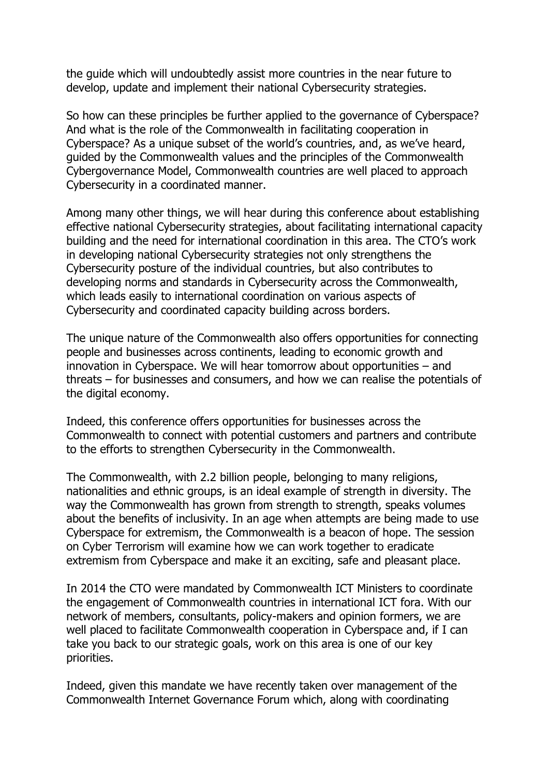the guide which will undoubtedly assist more countries in the near future to develop, update and implement their national Cybersecurity strategies.

So how can these principles be further applied to the governance of Cyberspace? And what is the role of the Commonwealth in facilitating cooperation in Cyberspace? As a unique subset of the world's countries, and, as we've heard, guided by the Commonwealth values and the principles of the Commonwealth Cybergovernance Model, Commonwealth countries are well placed to approach Cybersecurity in a coordinated manner.

Among many other things, we will hear during this conference about establishing effective national Cybersecurity strategies, about facilitating international capacity building and the need for international coordination in this area. The CTO's work in developing national Cybersecurity strategies not only strengthens the Cybersecurity posture of the individual countries, but also contributes to developing norms and standards in Cybersecurity across the Commonwealth, which leads easily to international coordination on various aspects of Cybersecurity and coordinated capacity building across borders.

The unique nature of the Commonwealth also offers opportunities for connecting people and businesses across continents, leading to economic growth and innovation in Cyberspace. We will hear tomorrow about opportunities – and threats – for businesses and consumers, and how we can realise the potentials of the digital economy.

Indeed, this conference offers opportunities for businesses across the Commonwealth to connect with potential customers and partners and contribute to the efforts to strengthen Cybersecurity in the Commonwealth.

The Commonwealth, with 2.2 billion people, belonging to many religions, nationalities and ethnic groups, is an ideal example of strength in diversity. The way the Commonwealth has grown from strength to strength, speaks volumes about the benefits of inclusivity. In an age when attempts are being made to use Cyberspace for extremism, the Commonwealth is a beacon of hope. The session on Cyber Terrorism will examine how we can work together to eradicate extremism from Cyberspace and make it an exciting, safe and pleasant place.

In 2014 the CTO were mandated by Commonwealth ICT Ministers to coordinate the engagement of Commonwealth countries in international ICT fora. With our network of members, consultants, policy-makers and opinion formers, we are well placed to facilitate Commonwealth cooperation in Cyberspace and, if I can take you back to our strategic goals, work on this area is one of our key priorities.

Indeed, given this mandate we have recently taken over management of the Commonwealth Internet Governance Forum which, along with coordinating